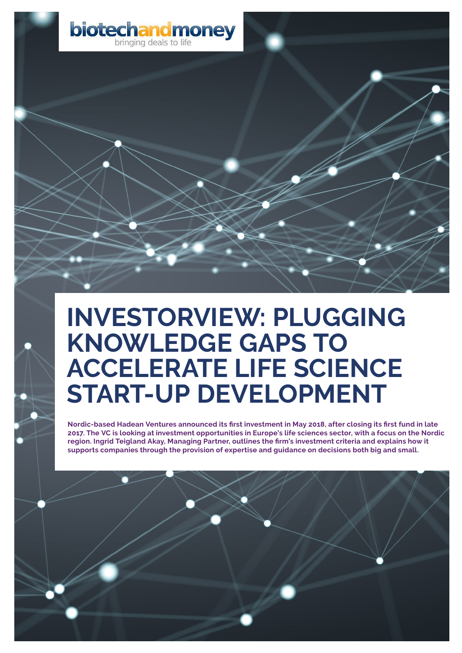

# **INVESTORVIEW: PLUGGING KNOWLEDGE GAPS TO ACCELERATE LIFE SCIENCE START-UP DEVELOPMENT**

**Nordic-based [Hadean Ventures](http://hadeanventures.com/) announced its first investment in May 2018, after closing its first fund in late 2017. The VC is looking at investment opportunities in Europe's life sciences sector, with a focus on the Nordic region. Ingrid Teigland Akay, Managing Partner, outlines the firm's investment criteria and explains how it supports companies through the provision of expertise and guidance on decisions both big and small.**

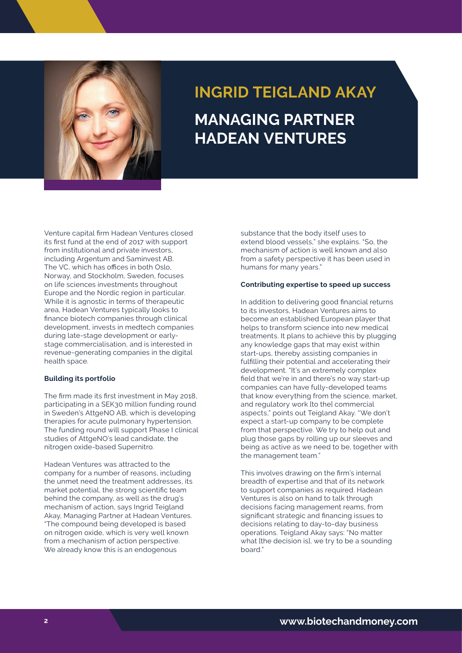

## **INGRID TEIGLAND AKAY MANAGING PARTNER HADEAN VENTURES**

Venture capital fir[m Hadean Ventures c](http://hadeanventures.com/)losed its first fund at the end of 2017 with support from institutional and private investors, including Argentum and Saminvest AB. The VC, which has offices in both Oslo, Norway, and Stockholm, Sweden, focuses on life sciences investments throughout Europe and the Nordic region in particular. While it is agnostic in terms of therapeutic area, Hadean Ventures typically looks to finance biotech companies through clinical development, invests in medtech companies during late-stage development or earlystage commercialisation, and is interested in revenue-generating companies in the digital health space.

#### **Building its portfolio**

The firm made its first investment in May 2018, participating in a SEK30 million funding round in Sweden's AttgeNO AB, which is developing therapies for acute pulmonary hypertension. The funding round will support Phase I clinical studies of AttgeNO's lead candidate, the nitrogen oxide-based Supernitro.

Published by **Biotech and Money** in **February 2018** We already know this is an endogenous Designed by **Ninet6** Hadean Ventures was attracted to the company for a number of reasons, including the unmet need the treatment addresses, its market potential, the strong scientific team behind the company, as well as the drug's mechanism of action, says Ingrid Teigland Akay, Managing Partner at Hadean Ventures. "The compound being developed is based on nitrogen oxide, which is very well known from a mechanism of action perspective.

substance that the body itself uses to extend blood vessels," she explains. "So, the mechanism of action is well known and also from a safety perspective it has been used in humans for many years."

### **Contributing expertise to speed up success**

In addition to delivering good financial returns to its investors, Hadean Ventures aims to become an established European player that helps to transform science into new medical treatments. It plans to achieve this by plugging any knowledge gaps that may exist within start-ups, thereby assisting companies in fulfilling their potential and accelerating their development. "It's an extremely complex field that we're in and there's no way start-up companies can have fully-developed teams that know everything from the science, market, and regulatory work [to the] commercial aspects," points out Teigland Akay. "We don't expect a start-up company to be complete from that perspective. We try to help out and plug those gaps by rolling up our sleeves and being as active as we need to be, together with the management team."

This involves drawing on the firm's internal breadth of expertise and that of its network to support companies as required. Hadean Ventures is also on hand to talk through decisions facing management reams, from significant strategic and financing issues to decisions relating to day-to-day business operations. Teigland Akay says: "No matter what [the decision is], we try to be a sounding board."